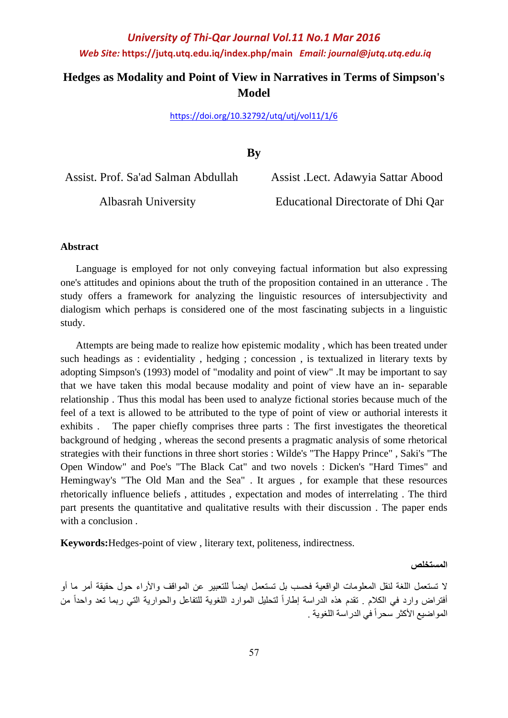## **Hedges as Modality and Point of View in Narratives in Terms of Simpson's Model**

<https://doi.org/10.32792/utq/utj/vol11/1/6>

**By**

Assist. Prof. Sa'ad Salman Abdullah Assist .Lect. Adawyia Sattar Abood Albasrah University Educational Directorate of Dhi Qar

### **Abstract**

 Language is employed for not only conveying factual information but also expressing one's attitudes and opinions about the truth of the proposition contained in an utterance . The study offers a framework for analyzing the linguistic resources of intersubjectivity and dialogism which perhaps is considered one of the most fascinating subjects in a linguistic study.

 Attempts are being made to realize how epistemic modality , which has been treated under such headings as : evidentiality , hedging ; concession , is textualized in literary texts by adopting Simpson's (1993) model of "modality and point of view" .It may be important to say that we have taken this modal because modality and point of view have an in- separable relationship . Thus this modal has been used to analyze fictional stories because much of the feel of a text is allowed to be attributed to the type of point of view or authorial interests it exhibits . The paper chiefly comprises three parts : The first investigates the theoretical background of hedging , whereas the second presents a pragmatic analysis of some rhetorical strategies with their functions in three short stories : Wilde's "The Happy Prince" , Saki's "The Open Window" and Poe's "The Black Cat" and two novels : Dicken's "Hard Times" and Hemingway's "The Old Man and the Sea" . It argues , for example that these resources rhetorically influence beliefs , attitudes , expectation and modes of interrelating . The third part presents the quantitative and qualitative results with their discussion . The paper ends with a conclusion.

**Keywords:**Hedges-point of view , literary text, politeness, indirectness.

**المستخلص**

لا تستعمل اللغة لنقل المعلومات الواقعية فحسب بل تستعمل ايضاً للتعبير عن المواقف والأراء حول حقيقة أمر ما أو أفتراض وارد في الكلام <sub>.</sub> تقدم هذه الدراسة إطاراً لتحليل الموارد اللغوية للتفاعل والحوارية التي ربما تعد واحداً من المواضيع الأكثر سحراً في الدراسة اللغوية .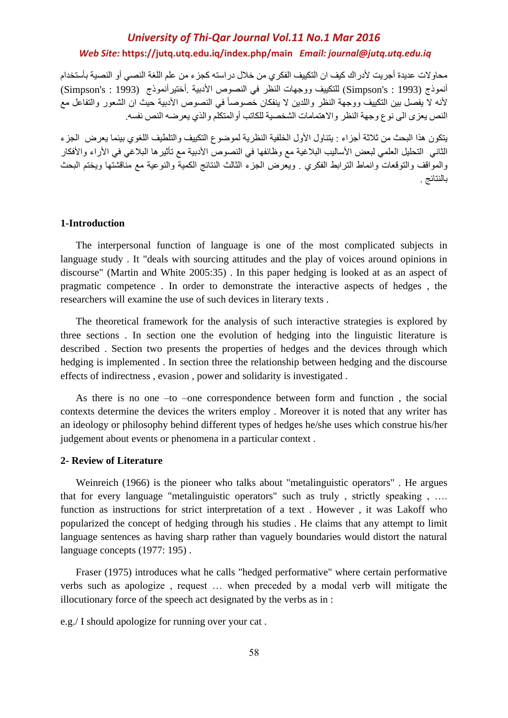محاوالت عديدة أجريت ألدراك كيف ان التكييف الفكري من خالل دراسته كجزء من علم اللغة النصي أو النصية بأستخدام أنموذج (1993 : Simpson's) للتكييف ووجهات النظر في النصوص الأدبية .أختير أنموذج (1993 : Simpson's) لأنه لا يفصل بين التكييف ووجهة النظر واللدين لا ينفكان خصوصاً في النصوص الأدبية حيث ان الشعور والتفاعل مع النص يعزى الى نوع وجهة النظر والاهتمامات الشخصية للكاتب أوالمتكلم والذي يعرضه النص نفسه.

يتكون هذا البحث من ثالثة أجزاء : يتناول األول الخلفية النظرية لموضوع التكييف والتلطيف اللغوي بينما يعرض الجزء الثاني التحليل العلمي لبعض الأساليب البلاغية مع وظائفها في النصوص الأدبية مع تأثيرها البلاغي في الأراء والأفكار والمواقف والتوقعات وانماط الترابط الفكري . ويعرض الجزء الثالث النتائج الكمية والنوعية مع مناقشتها ويختم البحث بالنتائج .

#### **1-Introduction**

 The interpersonal function of language is one of the most complicated subjects in language study . It "deals with sourcing attitudes and the play of voices around opinions in discourse" (Martin and White 2005:35) . In this paper hedging is looked at as an aspect of pragmatic competence . In order to demonstrate the interactive aspects of hedges , the researchers will examine the use of such devices in literary texts .

 The theoretical framework for the analysis of such interactive strategies is explored by three sections . In section one the evolution of hedging into the linguistic literature is described . Section two presents the properties of hedges and the devices through which hedging is implemented . In section three the relationship between hedging and the discourse effects of indirectness , evasion , power and solidarity is investigated .

 As there is no one –to –one correspondence between form and function , the social contexts determine the devices the writers employ . Moreover it is noted that any writer has an ideology or philosophy behind different types of hedges he/she uses which construe his/her judgement about events or phenomena in a particular context .

### **2- Review of Literature**

 Weinreich (1966) is the pioneer who talks about "metalinguistic operators" . He argues that for every language "metalinguistic operators" such as truly , strictly speaking , …. function as instructions for strict interpretation of a text . However , it was Lakoff who popularized the concept of hedging through his studies . He claims that any attempt to limit language sentences as having sharp rather than vaguely boundaries would distort the natural language concepts (1977: 195).

 Fraser (1975) introduces what he calls "hedged performative" where certain performative verbs such as apologize , request … when preceded by a modal verb will mitigate the illocutionary force of the speech act designated by the verbs as in :

e.g./ I should apologize for running over your cat .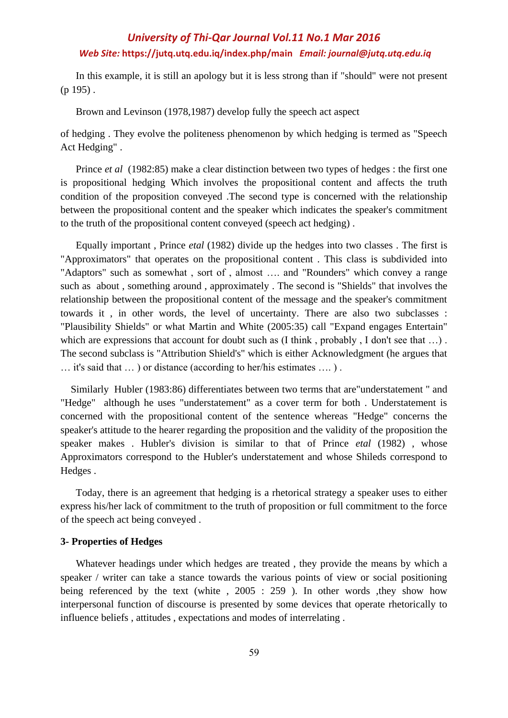In this example, it is still an apology but it is less strong than if "should" were not present  $(p 195)$ .

Brown and Levinson (1978,1987) develop fully the speech act aspect

of hedging . They evolve the politeness phenomenon by which hedging is termed as "Speech Act Hedging" .

 Prince *et al* (1982:85) make a clear distinction between two types of hedges : the first one is propositional hedging Which involves the propositional content and affects the truth condition of the proposition conveyed .The second type is concerned with the relationship between the propositional content and the speaker which indicates the speaker's commitment to the truth of the propositional content conveyed (speech act hedging) .

 Equally important , Prince *etal* (1982) divide up the hedges into two classes . The first is "Approximators" that operates on the propositional content . This class is subdivided into "Adaptors" such as somewhat , sort of , almost …. and "Rounders" which convey a range such as about , something around , approximately . The second is "Shields" that involves the relationship between the propositional content of the message and the speaker's commitment towards it , in other words, the level of uncertainty. There are also two subclasses : "Plausibility Shields" or what Martin and White (2005:35) call "Expand engages Entertain" which are expressions that account for doubt such as (I think, probably, I don't see that ...). The second subclass is "Attribution Shield's" which is either Acknowledgment (he argues that … it's said that … ) or distance (according to her/his estimates …. ) .

 Similarly Hubler (1983:86) differentiates between two terms that are"understatement " and "Hedge" although he uses "understatement" as a cover term for both . Understatement is concerned with the propositional content of the sentence whereas "Hedge" concerns the speaker's attitude to the hearer regarding the proposition and the validity of the proposition the speaker makes . Hubler's division is similar to that of Prince *etal* (1982) , whose Approximators correspond to the Hubler's understatement and whose Shileds correspond to Hedges .

 Today, there is an agreement that hedging is a rhetorical strategy a speaker uses to either express his/her lack of commitment to the truth of proposition or full commitment to the force of the speech act being conveyed .

#### **3- Properties of Hedges**

 Whatever headings under which hedges are treated , they provide the means by which a speaker / writer can take a stance towards the various points of view or social positioning being referenced by the text (white , 2005 : 259). In other words they show how interpersonal function of discourse is presented by some devices that operate rhetorically to influence beliefs , attitudes , expectations and modes of interrelating .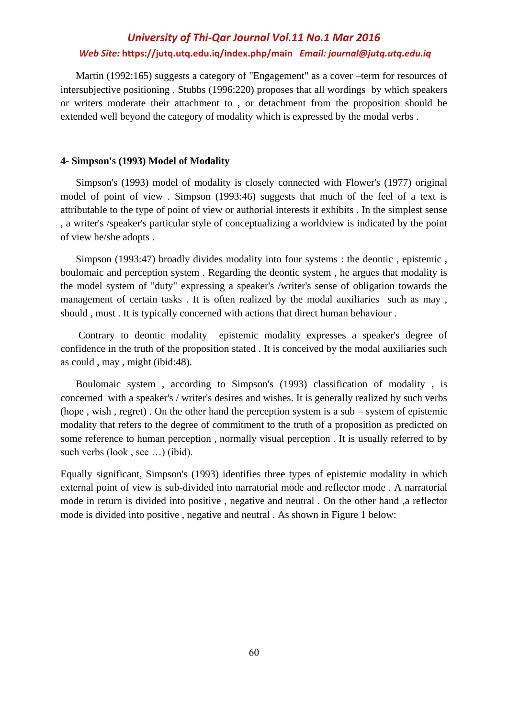Martin (1992:165) suggests a category of "Engagement" as a cover –term for resources of intersubjective positioning . Stubbs (1996:220) proposes that all wordings by which speakers or writers moderate their attachment to , or detachment from the proposition should be extended well beyond the category of modality which is expressed by the modal verbs .

#### **4- Simpson's (1993) Model of Modality**

 Simpson's (1993) model of modality is closely connected with Flower's (1977) original model of point of view . Simpson (1993:46) suggests that much of the feel of a text is attributable to the type of point of view or authorial interests it exhibits . In the simplest sense , a writer's /speaker's particular style of conceptualizing a worldview is indicated by the point of view he/she adopts .

 Simpson (1993:47) broadly divides modality into four systems : the deontic , epistemic , boulomaic and perception system . Regarding the deontic system , he argues that modality is the model system of "duty" expressing a speaker's /writer's sense of obligation towards the management of certain tasks . It is often realized by the modal auxiliaries such as may , should , must . It is typically concerned with actions that direct human behaviour .

 Contrary to deontic modality epistemic modality expresses a speaker's degree of confidence in the truth of the proposition stated . It is conceived by the modal auxiliaries such as could , may , might (ibid:48).

 Boulomaic system , according to Simpson's (1993) classification of modality , is concerned with a speaker's / writer's desires and wishes. It is generally realized by such verbs (hope , wish , regret) . On the other hand the perception system is a sub – system of epistemic modality that refers to the degree of commitment to the truth of a proposition as predicted on some reference to human perception , normally visual perception . It is usually referred to by such verbs (look , see …) (ibid).

Equally significant, Simpson's (1993) identifies three types of epistemic modality in which external point of view is sub-divided into narratorial mode and reflector mode . A narratorial mode in return is divided into positive , negative and neutral . On the other hand ,a reflector mode is divided into positive , negative and neutral . As shown in Figure 1 below: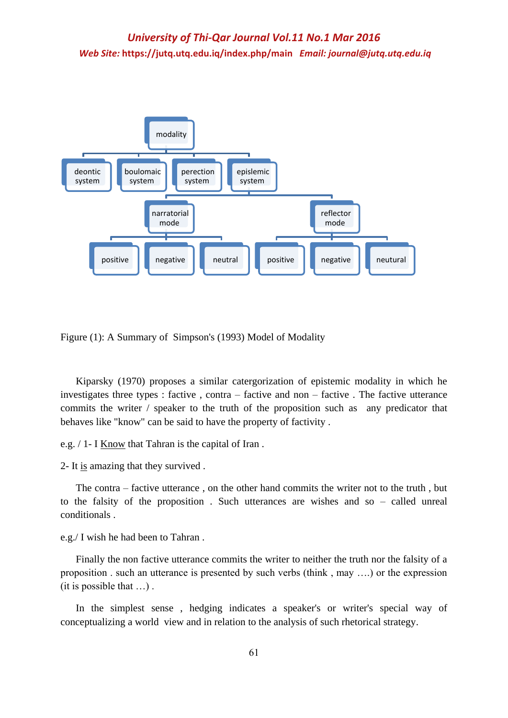

Figure (1): A Summary of Simpson's (1993) Model of Modality

 Kiparsky (1970) proposes a similar catergorization of epistemic modality in which he investigates three types : factive , contra – factive and non – factive . The factive utterance commits the writer / speaker to the truth of the proposition such as any predicator that behaves like "know" can be said to have the property of factivity .

e.g. / 1- I Know that Tahran is the capital of Iran .

2- It is amazing that they survived .

 The contra – factive utterance , on the other hand commits the writer not to the truth , but to the falsity of the proposition . Such utterances are wishes and so – called unreal conditionals .

e.g./ I wish he had been to Tahran .

 Finally the non factive utterance commits the writer to neither the truth nor the falsity of a proposition . such an utterance is presented by such verbs (think , may ….) or the expression (it is possible that …) .

 In the simplest sense , hedging indicates a speaker's or writer's special way of conceptualizing a world view and in relation to the analysis of such rhetorical strategy.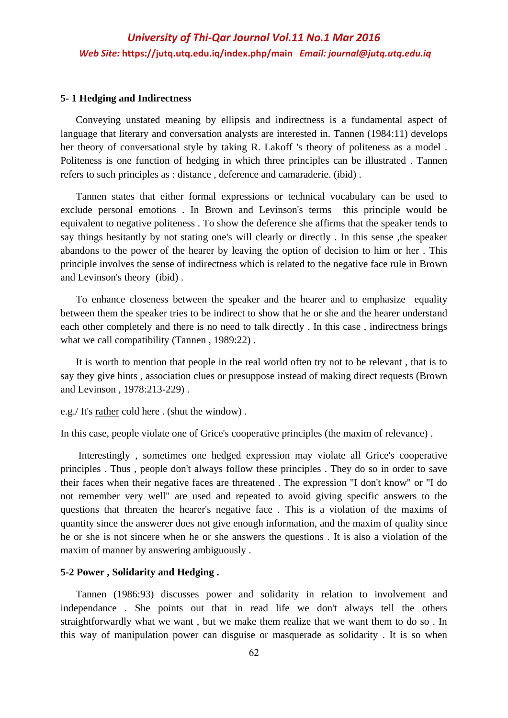#### **5- 1 Hedging and Indirectness**

 Conveying unstated meaning by ellipsis and indirectness is a fundamental aspect of language that literary and conversation analysts are interested in. Tannen (1984:11) develops her theory of conversational style by taking R. Lakoff 's theory of politeness as a model . Politeness is one function of hedging in which three principles can be illustrated . Tannen refers to such principles as : distance , deference and camaraderie. (ibid) .

 Tannen states that either formal expressions or technical vocabulary can be used to exclude personal emotions . In Brown and Levinson's terms this principle would be equivalent to negative politeness . To show the deference she affirms that the speaker tends to say things hesitantly by not stating one's will clearly or directly . In this sense ,the speaker abandons to the power of the hearer by leaving the option of decision to him or her . This principle involves the sense of indirectness which is related to the negative face rule in Brown and Levinson's theory (ibid) .

 To enhance closeness between the speaker and the hearer and to emphasize equality between them the speaker tries to be indirect to show that he or she and the hearer understand each other completely and there is no need to talk directly . In this case , indirectness brings what we call compatibility (Tannen, 1989:22).

 It is worth to mention that people in the real world often try not to be relevant , that is to say they give hints , association clues or presuppose instead of making direct requests (Brown and Levinson , 1978:213-229) .

e.g./ It's rather cold here . (shut the window) .

In this case, people violate one of Grice's cooperative principles (the maxim of relevance) .

 Interestingly , sometimes one hedged expression may violate all Grice's cooperative principles . Thus , people don't always follow these principles . They do so in order to save their faces when their negative faces are threatened . The expression "I don't know" or "I do not remember very well" are used and repeated to avoid giving specific answers to the questions that threaten the hearer's negative face . This is a violation of the maxims of quantity since the answerer does not give enough information, and the maxim of quality since he or she is not sincere when he or she answers the questions . It is also a violation of the maxim of manner by answering ambiguously .

### **5-2 Power , Solidarity and Hedging .**

 Tannen (1986:93) discusses power and solidarity in relation to involvement and independance . She points out that in read life we don't always tell the others straightforwardly what we want , but we make them realize that we want them to do so . In this way of manipulation power can disguise or masquerade as solidarity . It is so when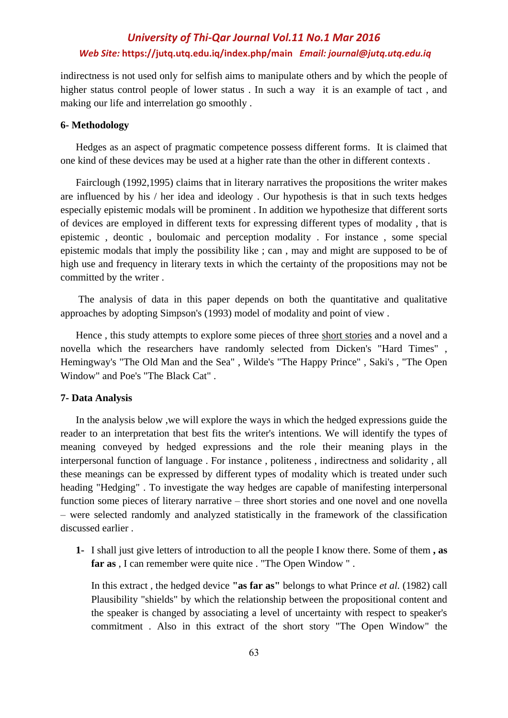indirectness is not used only for selfish aims to manipulate others and by which the people of higher status control people of lower status. In such a way it is an example of tact, and making our life and interrelation go smoothly .

### **6- Methodology**

 Hedges as an aspect of pragmatic competence possess different forms. It is claimed that one kind of these devices may be used at a higher rate than the other in different contexts .

 Fairclough (1992,1995) claims that in literary narratives the propositions the writer makes are influenced by his / her idea and ideology . Our hypothesis is that in such texts hedges especially epistemic modals will be prominent . In addition we hypothesize that different sorts of devices are employed in different texts for expressing different types of modality , that is epistemic , deontic , boulomaic and perception modality . For instance , some special epistemic modals that imply the possibility like ; can , may and might are supposed to be of high use and frequency in literary texts in which the certainty of the propositions may not be committed by the writer .

 The analysis of data in this paper depends on both the quantitative and qualitative approaches by adopting Simpson's (1993) model of modality and point of view .

 Hence , this study attempts to explore some pieces of three short stories and a novel and a novella which the researchers have randomly selected from Dicken's "Hard Times" , Hemingway's "The Old Man and the Sea" , Wilde's "The Happy Prince" , Saki's , "The Open Window" and Poe's "The Black Cat" .

### **7- Data Analysis**

 In the analysis below ,we will explore the ways in which the hedged expressions guide the reader to an interpretation that best fits the writer's intentions. We will identify the types of meaning conveyed by hedged expressions and the role their meaning plays in the interpersonal function of language . For instance , politeness , indirectness and solidarity , all these meanings can be expressed by different types of modality which is treated under such heading "Hedging" . To investigate the way hedges are capable of manifesting interpersonal function some pieces of literary narrative – three short stories and one novel and one novella – were selected randomly and analyzed statistically in the framework of the classification discussed earlier .

**1-** I shall just give letters of introduction to all the people I know there. Some of them **, as far as** , I can remember were quite nice . "The Open Window " .

In this extract , the hedged device **"as far as"** belongs to what Prince *et al.* (1982) call Plausibility "shields" by which the relationship between the propositional content and the speaker is changed by associating a level of uncertainty with respect to speaker's commitment . Also in this extract of the short story "The Open Window" the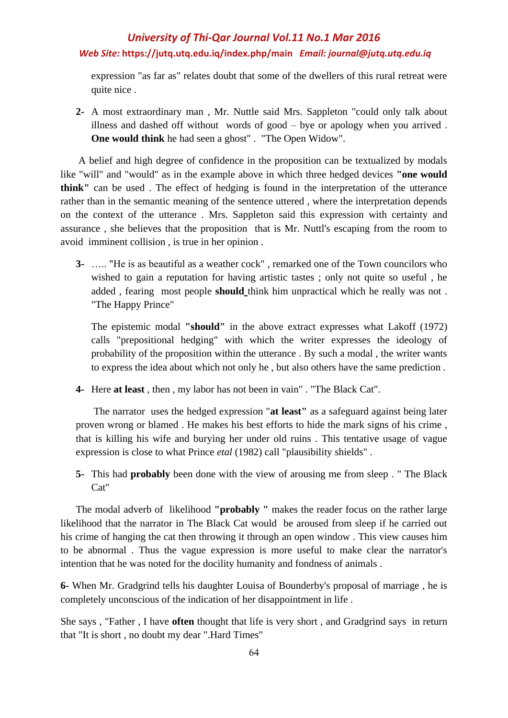expression "as far as" relates doubt that some of the dwellers of this rural retreat were quite nice .

**2-** A most extraordinary man , Mr. Nuttle said Mrs. Sappleton "could only talk about illness and dashed off without words of good – bye or apology when you arrived . **One would think** he had seen a ghost" . "The Open Widow".

 A belief and high degree of confidence in the proposition can be textualized by modals like "will" and "would" as in the example above in which three hedged devices **"one would think"** can be used . The effect of hedging is found in the interpretation of the utterance rather than in the semantic meaning of the sentence uttered , where the interpretation depends on the context of the utterance . Mrs. Sappleton said this expression with certainty and assurance , she believes that the proposition that is Mr. Nuttl's escaping from the room to avoid imminent collision , is true in her opinion .

**3-** ….. "He is as beautiful as a weather cock" , remarked one of the Town councilors who wished to gain a reputation for having artistic tastes ; only not quite so useful , he added , fearing most people **should** think him unpractical which he really was not . "The Happy Prince"

The epistemic modal **"should"** in the above extract expresses what Lakoff (1972) calls "prepositional hedging" with which the writer expresses the ideology of probability of the proposition within the utterance . By such a modal , the writer wants to express the idea about which not only he , but also others have the same prediction .

**4-** Here **at least** , then , my labor has not been in vain" . "The Black Cat".

 The narrator uses the hedged expression "**at least"** as a safeguard against being later proven wrong or blamed . He makes his best efforts to hide the mark signs of his crime , that is killing his wife and burying her under old ruins . This tentative usage of vague expression is close to what Prince *etal* (1982) call "plausibility shields" .

**5-** This had **probably** been done with the view of arousing me from sleep . " The Black Cat"

 The modal adverb of likelihood **"probably "** makes the reader focus on the rather large likelihood that the narrator in The Black Cat would be aroused from sleep if he carried out his crime of hanging the cat then throwing it through an open window . This view causes him to be abnormal . Thus the vague expression is more useful to make clear the narrator's intention that he was noted for the docility humanity and fondness of animals .

**6-** When Mr. Gradgrind tells his daughter Louisa of Bounderby's proposal of marriage , he is completely unconscious of the indication of her disappointment in life .

She says , "Father , I have **often** thought that life is very short , and Gradgrind says in return that "It is short , no doubt my dear ".Hard Times"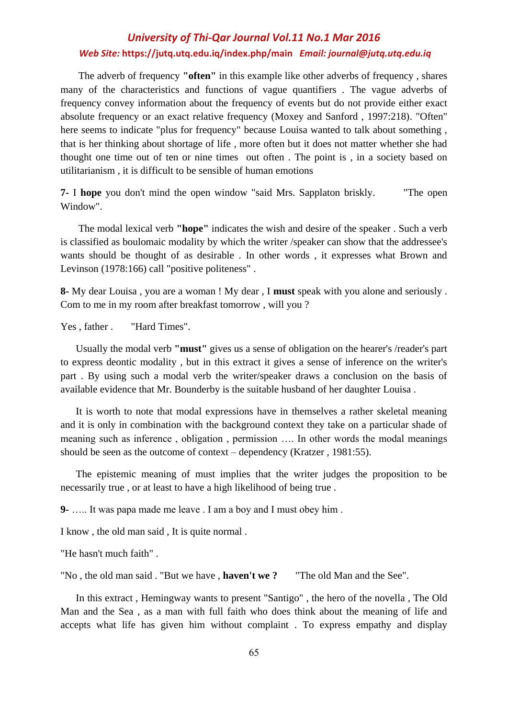The adverb of frequency **"often"** in this example like other adverbs of frequency , shares many of the characteristics and functions of vague quantifiers . The vague adverbs of frequency convey information about the frequency of events but do not provide either exact absolute frequency or an exact relative frequency (Moxey and Sanford , 1997:218). "Often" here seems to indicate "plus for frequency" because Louisa wanted to talk about something , that is her thinking about shortage of life , more often but it does not matter whether she had thought one time out of ten or nine times out often . The point is , in a society based on utilitarianism , it is difficult to be sensible of human emotions

**7-** I **hope** you don't mind the open window "said Mrs. Sapplaton briskly. "The open Window".

 The modal lexical verb **"hope"** indicates the wish and desire of the speaker . Such a verb is classified as boulomaic modality by which the writer /speaker can show that the addressee's wants should be thought of as desirable . In other words , it expresses what Brown and Levinson (1978:166) call "positive politeness" .

**8-** My dear Louisa , you are a woman ! My dear , I **must** speak with you alone and seriously . Com to me in my room after breakfast tomorrow , will you ?

Yes, father . "Hard Times".

 Usually the modal verb **"must"** gives us a sense of obligation on the hearer's /reader's part to express deontic modality , but in this extract it gives a sense of inference on the writer's part . By using such a modal verb the writer/speaker draws a conclusion on the basis of available evidence that Mr. Bounderby is the suitable husband of her daughter Louisa .

 It is worth to note that modal expressions have in themselves a rather skeletal meaning and it is only in combination with the background context they take on a particular shade of meaning such as inference , obligation , permission …. In other words the modal meanings should be seen as the outcome of context – dependency (Kratzer , 1981:55).

 The epistemic meaning of must implies that the writer judges the proposition to be necessarily true , or at least to have a high likelihood of being true .

**9-** ….. It was papa made me leave . I am a boy and I must obey him .

I know , the old man said , It is quite normal .

"He hasn't much faith" .

"No , the old man said . "But we have , **haven't we ?** "The old Man and the See".

 In this extract , Hemingway wants to present "Santigo" , the hero of the novella , The Old Man and the Sea , as a man with full faith who does think about the meaning of life and accepts what life has given him without complaint . To express empathy and display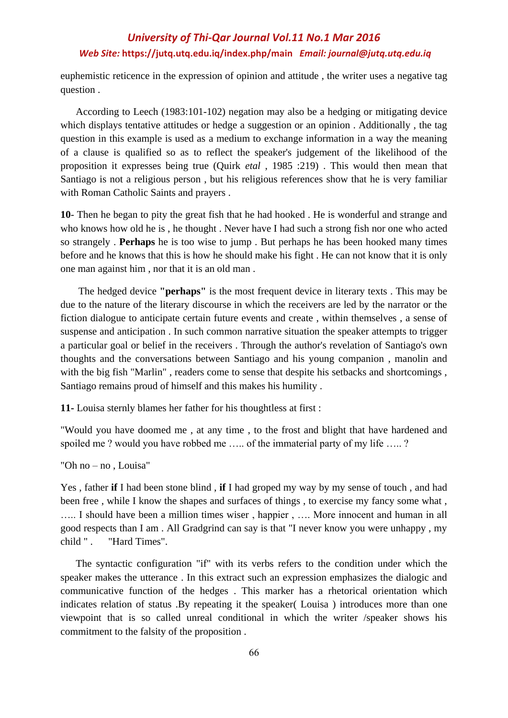euphemistic reticence in the expression of opinion and attitude , the writer uses a negative tag question .

 According to Leech (1983:101-102) negation may also be a hedging or mitigating device which displays tentative attitudes or hedge a suggestion or an opinion . Additionally , the tag question in this example is used as a medium to exchange information in a way the meaning of a clause is qualified so as to reflect the speaker's judgement of the likelihood of the proposition it expresses being true (Quirk *etal* , 1985 :219) . This would then mean that Santiago is not a religious person , but his religious references show that he is very familiar with Roman Catholic Saints and prayers .

**10**- Then he began to pity the great fish that he had hooked . He is wonderful and strange and who knows how old he is , he thought . Never have I had such a strong fish nor one who acted so strangely . **Perhaps** he is too wise to jump . But perhaps he has been hooked many times before and he knows that this is how he should make his fight . He can not know that it is only one man against him , nor that it is an old man .

 The hedged device **"perhaps"** is the most frequent device in literary texts . This may be due to the nature of the literary discourse in which the receivers are led by the narrator or the fiction dialogue to anticipate certain future events and create , within themselves , a sense of suspense and anticipation . In such common narrative situation the speaker attempts to trigger a particular goal or belief in the receivers . Through the author's revelation of Santiago's own thoughts and the conversations between Santiago and his young companion , manolin and with the big fish "Marlin", readers come to sense that despite his setbacks and shortcomings, Santiago remains proud of himself and this makes his humility .

**11-** Louisa sternly blames her father for his thoughtless at first :

"Would you have doomed me , at any time , to the frost and blight that have hardened and spoiled me ? would you have robbed me ..... of the immaterial party of my life ..... ?

"Oh no – no , Louisa"

Yes , father **if** I had been stone blind , **if** I had groped my way by my sense of touch , and had been free , while I know the shapes and surfaces of things , to exercise my fancy some what , ….. I should have been a million times wiser , happier , …. More innocent and human in all good respects than I am . All Gradgrind can say is that "I never know you were unhappy , my child " . "Hard Times".

 The syntactic configuration "if" with its verbs refers to the condition under which the speaker makes the utterance . In this extract such an expression emphasizes the dialogic and communicative function of the hedges . This marker has a rhetorical orientation which indicates relation of status .By repeating it the speaker( Louisa ) introduces more than one viewpoint that is so called unreal conditional in which the writer /speaker shows his commitment to the falsity of the proposition .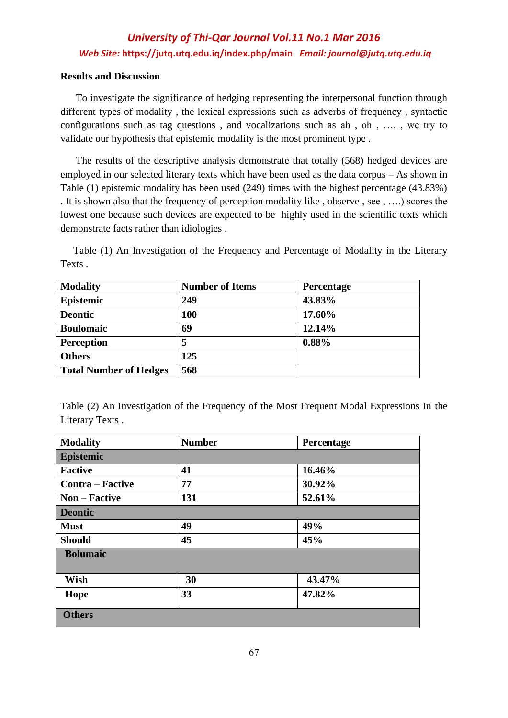### **Results and Discussion**

 To investigate the significance of hedging representing the interpersonal function through different types of modality , the lexical expressions such as adverbs of frequency , syntactic configurations such as tag questions , and vocalizations such as ah , oh , …. , we try to validate our hypothesis that epistemic modality is the most prominent type .

 The results of the descriptive analysis demonstrate that totally (568) hedged devices are employed in our selected literary texts which have been used as the data corpus – As shown in Table (1) epistemic modality has been used (249) times with the highest percentage (43.83%) . It is shown also that the frequency of perception modality like , observe , see , ….) scores the lowest one because such devices are expected to be highly used in the scientific texts which demonstrate facts rather than idiologies .

 Table (1) An Investigation of the Frequency and Percentage of Modality in the Literary Texts .

| <b>Modality</b>               | <b>Number of Items</b> | Percentage |
|-------------------------------|------------------------|------------|
| Epistemic                     | 249                    | 43.83%     |
| <b>Deontic</b>                | 100                    | 17.60%     |
| <b>Boulomaic</b>              | 69                     | 12.14%     |
| <b>Perception</b>             | 5                      | 0.88%      |
| <b>Others</b>                 | 125                    |            |
| <b>Total Number of Hedges</b> | 568                    |            |

Table (2) An Investigation of the Frequency of the Most Frequent Modal Expressions In the Literary Texts .

| <b>Modality</b>         | <b>Number</b> | Percentage |  |  |
|-------------------------|---------------|------------|--|--|
| Epistemic               |               |            |  |  |
| <b>Factive</b>          | 41            | 16.46%     |  |  |
| <b>Contra</b> – Factive | 77            | 30.92%     |  |  |
| <b>Non</b> – Factive    | 131           | 52.61%     |  |  |
| <b>Deontic</b>          |               |            |  |  |
| <b>Must</b>             | 49            | 49%        |  |  |
| <b>Should</b>           | 45            | 45%        |  |  |
| <b>Bolumaic</b>         |               |            |  |  |
|                         |               |            |  |  |
| <b>Wish</b>             | 30            | 43.47%     |  |  |
| Hope                    | 33            | 47.82%     |  |  |
| <b>Others</b>           |               |            |  |  |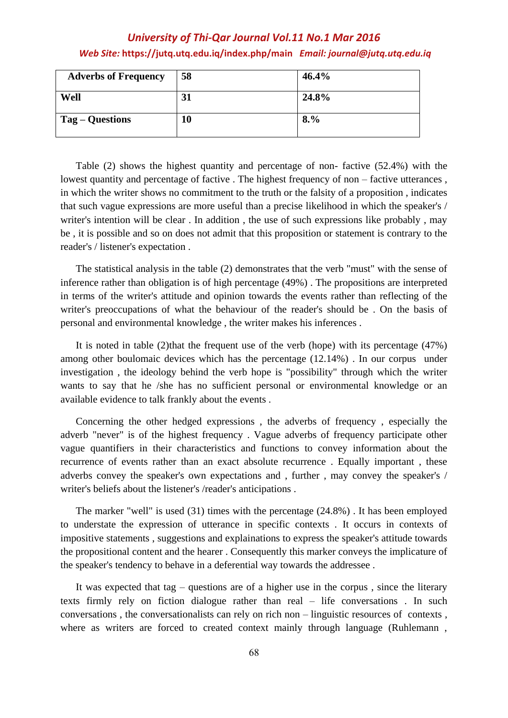| <b>Adverbs of Frequency</b> | 58 | 46.4% |
|-----------------------------|----|-------|
| Well                        | 31 | 24.8% |
| Tag – Questions             | 10 | 8.%   |

 Table (2) shows the highest quantity and percentage of non- factive (52.4%) with the lowest quantity and percentage of factive. The highest frequency of non – factive utterances, in which the writer shows no commitment to the truth or the falsity of a proposition , indicates that such vague expressions are more useful than a precise likelihood in which the speaker's / writer's intention will be clear . In addition , the use of such expressions like probably , may be , it is possible and so on does not admit that this proposition or statement is contrary to the reader's / listener's expectation .

 The statistical analysis in the table (2) demonstrates that the verb "must" with the sense of inference rather than obligation is of high percentage (49%) . The propositions are interpreted in terms of the writer's attitude and opinion towards the events rather than reflecting of the writer's preoccupations of what the behaviour of the reader's should be . On the basis of personal and environmental knowledge , the writer makes his inferences .

 It is noted in table (2)that the frequent use of the verb (hope) with its percentage (47%) among other boulomaic devices which has the percentage (12.14%) . In our corpus under investigation , the ideology behind the verb hope is "possibility" through which the writer wants to say that he /she has no sufficient personal or environmental knowledge or an available evidence to talk frankly about the events .

 Concerning the other hedged expressions , the adverbs of frequency , especially the adverb "never" is of the highest frequency . Vague adverbs of frequency participate other vague quantifiers in their characteristics and functions to convey information about the recurrence of events rather than an exact absolute recurrence . Equally important , these adverbs convey the speaker's own expectations and , further , may convey the speaker's / writer's beliefs about the listener's /reader's anticipations .

 The marker "well" is used (31) times with the percentage (24.8%) . It has been employed to understate the expression of utterance in specific contexts . It occurs in contexts of impositive statements , suggestions and explainations to express the speaker's attitude towards the propositional content and the hearer . Consequently this marker conveys the implicature of the speaker's tendency to behave in a deferential way towards the addressee .

 It was expected that tag – questions are of a higher use in the corpus , since the literary texts firmly rely on fiction dialogue rather than real – life conversations . In such conversations , the conversationalists can rely on rich non – linguistic resources of contexts , where as writers are forced to created context mainly through language (Ruhlemann ,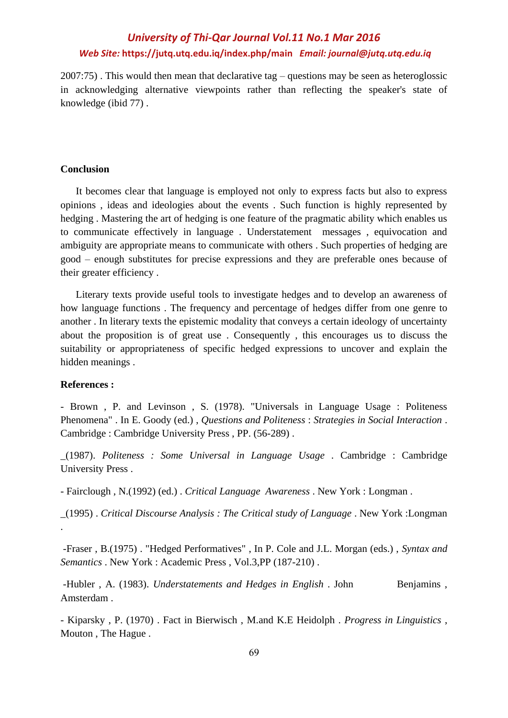2007:75) . This would then mean that declarative tag – questions may be seen as heteroglossic in acknowledging alternative viewpoints rather than reflecting the speaker's state of knowledge (ibid 77) .

### **Conclusion**

 It becomes clear that language is employed not only to express facts but also to express opinions , ideas and ideologies about the events . Such function is highly represented by hedging . Mastering the art of hedging is one feature of the pragmatic ability which enables us to communicate effectively in language . Understatement messages , equivocation and ambiguity are appropriate means to communicate with others . Such properties of hedging are good – enough substitutes for precise expressions and they are preferable ones because of their greater efficiency .

 Literary texts provide useful tools to investigate hedges and to develop an awareness of how language functions . The frequency and percentage of hedges differ from one genre to another . In literary texts the epistemic modality that conveys a certain ideology of uncertainty about the proposition is of great use . Consequently , this encourages us to discuss the suitability or appropriateness of specific hedged expressions to uncover and explain the hidden meanings .

### **References :**

- Brown , P. and Levinson , S. (1978). "Universals in Language Usage : Politeness Phenomena" . In E. Goody (ed.) , *Questions and Politeness* : *Strategies in Social Interaction* . Cambridge : Cambridge University Press , PP. (56-289) .

\_(1987). *Politeness : Some Universal in Language Usage* . Cambridge : Cambridge University Press .

- Fairclough , N.(1992) (ed.) . *Critical Language Awareness* . New York : Longman .

\_(1995) . *Critical Discourse Analysis : The Critical study of Language* . New York :Longman .

-Fraser , B.(1975) . "Hedged Performatives" , In P. Cole and J.L. Morgan (eds.) , *Syntax and Semantics* . New York : Academic Press , Vol.3,PP (187-210) .

-Hubler, A. (1983). *Understatements and Hedges in English* . John Benjamins, Amsterdam .

- Kiparsky , P. (1970) . Fact in Bierwisch , M.and K.E Heidolph . *Progress in Linguistics* , Mouton , The Hague .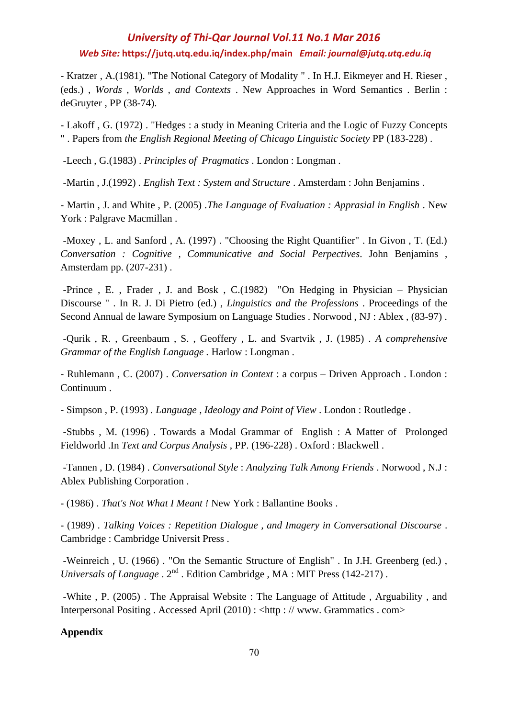- Kratzer , A.(1981). "The Notional Category of Modality " . In H.J. Eikmeyer and H. Rieser , (eds.) , *Words , Worlds , and Contexts* . New Approaches in Word Semantics . Berlin : deGruyter , PP (38-74).

- Lakoff , G. (1972) . "Hedges : a study in Meaning Criteria and the Logic of Fuzzy Concepts " . Papers from *the English Regional Meeting of Chicago Linguistic Society* PP (183-228) .

-Leech , G.(1983) . *Principles of Pragmatics* . London : Longman .

-Martin , J.(1992) *. English Text : System and Structure* . Amsterdam : John Benjamins .

- Martin , J. and White , P. (2005) *.The Language of Evaluation : Apprasial in English* . New York : Palgrave Macmillan .

-Moxey , L. and Sanford , A. (1997) . "Choosing the Right Quantifier" . In Givon , T. (Ed.) *Conversation : Cognitive , Communicative and Social Perpectives*. John Benjamins , Amsterdam pp. (207-231) .

-Prince , E. , Frader , J. and Bosk , C.(1982) "On Hedging in Physician – Physician Discourse " . In R. J. Di Pietro (ed.) , *Linguistics and the Professions* . Proceedings of the Second Annual de laware Symposium on Language Studies . Norwood , NJ : Ablex , (83-97) .

-Qurik , R. , Greenbaum , S. , Geoffery , L. and Svartvik , J. (1985) *. A comprehensive Grammar of the English Language .* Harlow : Longman .

- Ruhlemann , C. (2007) *. Conversation in Context* : a corpus – Driven Approach . London : Continuum .

- Simpson , P. (1993) *. Language , Ideology and Point of View* . London : Routledge .

-Stubbs , M. (1996) . Towards a Modal Grammar of English : A Matter of Prolonged Fieldworld .In *Text and Corpus Analysis* , PP. (196-228) . Oxford : Blackwell .

-Tannen , D. (1984) . *Conversational Style* : *Analyzing Talk Among Friends* . Norwood , N.J : Ablex Publishing Corporation .

- (1986) . *That's Not What I Meant !* New York : Ballantine Books .

- (1989) . *Talking Voices : Repetition Dialogue , and Imagery in Conversational Discourse* . Cambridge : Cambridge Universit Press .

-Weinreich , U. (1966) . "On the Semantic Structure of English" . In J.H. Greenberg (ed.) , *Universals of Language* .  $2^{nd}$  . Edition Cambridge , MA : MIT Press (142-217) .

-White , P. (2005) . The Appraisal Website : The Language of Attitude , Arguability , and Interpersonal Positing . Accessed April (2010) : <http : // www. Grammatics . com>

### **Appendix**